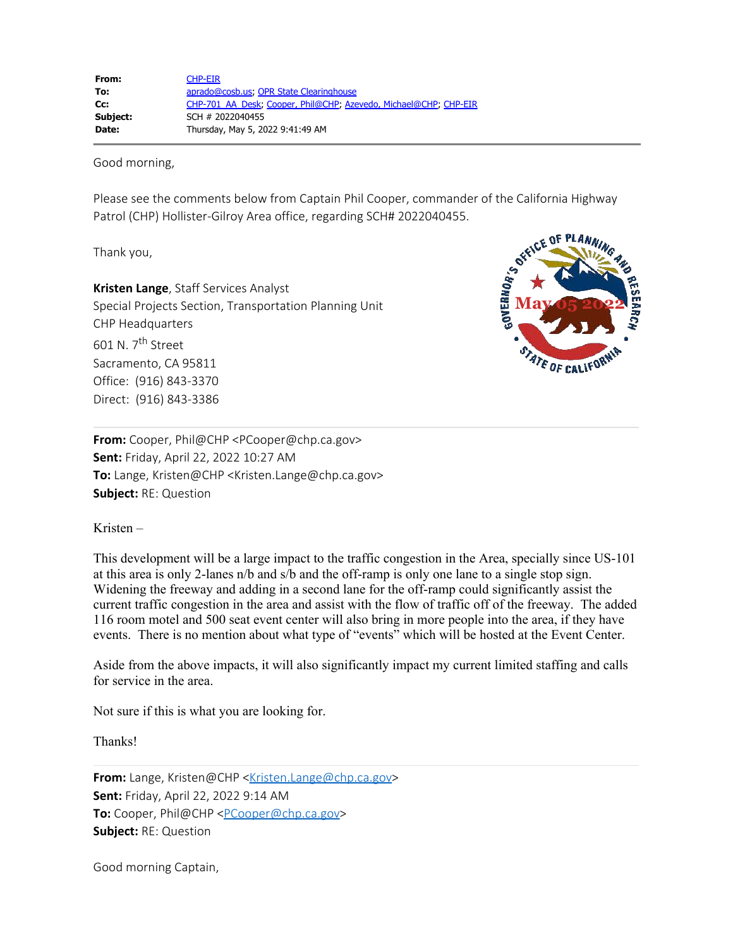Good morning,

Please see the comments below from Captain Phil Cooper, commander of the California Highway Patrol (CHP) Hollister-Gilroy Area office, regarding SCH# 2022040455.

Thank you,

**Kristen Lange**, Staff Services Analyst Special Projects Section, Transportation Planning Unit CHP Headquarters 601 N. 7th Street Sacramento, CA 95811 Office: (916) 843-3370 Direct: (916) 843-3386



**From:** Cooper, Phil@CHP <PCooper@chp.ca.gov> **Sent:** Friday, April 22, 2022 10:27 AM **To:** Lange, Kristen@CHP <Kristen.Lange@chp.ca.gov> **Subject:** RE: Question

Kristen –

This development will be a large impact to the traffic congestion in the Area, specially since US-101 at this area is only 2-lanes n/b and s/b and the off-ramp is only one lane to a single stop sign. Widening the freeway and adding in a second lane for the off-ramp could significantly assist the current traffic congestion in the area and assist with the flow of traffic off of the freeway. The added 116 room motel and 500 seat event center will also bring in more people into the area, if they have events. There is no mention about what type of "events" which will be hosted at the Event Center.

Aside from the above impacts, it will also significantly impact my current limited staffing and calls for service in the area.

Not sure if this is what you are looking for.

Thanks!

**From:** Lange, Kristen@CHP [<Kristen.Lange@chp.ca.gov](mailto:Kristen.Lange@chp.ca.gov)> **Sent:** Friday, April 22, 2022 9:14 AM **To:** Cooper, Phil@CHP [<PCooper@chp.ca.gov>](mailto:PCooper@chp.ca.gov) **Subject:** RE: Question

Good morning Captain,